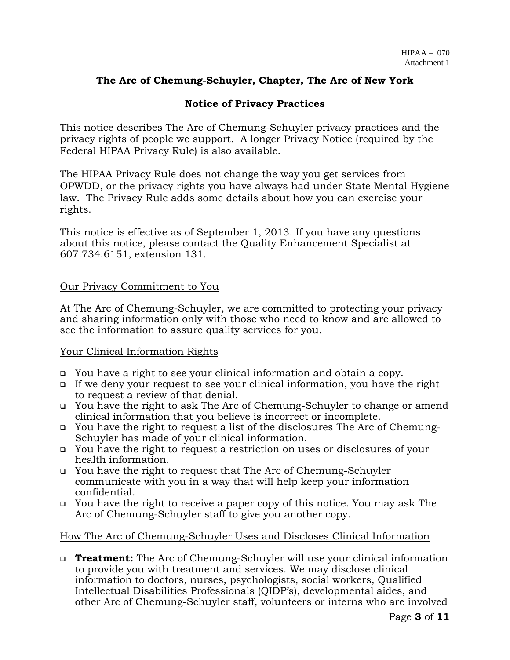## **The Arc of Chemung-Schuyler, Chapter, The Arc of New York**

# **Notice of Privacy Practices**

This notice describes The Arc of Chemung-Schuyler privacy practices and the privacy rights of people we support. A longer Privacy Notice (required by the Federal HIPAA Privacy Rule) is also available.

The HIPAA Privacy Rule does not change the way you get services from OPWDD, or the privacy rights you have always had under State Mental Hygiene law. The Privacy Rule adds some details about how you can exercise your rights.

This notice is effective as of September 1, 2013. If you have any questions about this notice, please contact the Quality Enhancement Specialist at 607.734.6151, extension 131.

## Our Privacy Commitment to You

At The Arc of Chemung-Schuyler, we are committed to protecting your privacy and sharing information only with those who need to know and are allowed to see the information to assure quality services for you.

### Your Clinical Information Rights

- ❑ You have a right to see your clinical information and obtain a copy.
- ❑ If we deny your request to see your clinical information, you have the right to request a review of that denial.
- ❑ You have the right to ask The Arc of Chemung-Schuyler to change or amend clinical information that you believe is incorrect or incomplete.
- ❑ You have the right to request a list of the disclosures The Arc of Chemung-Schuyler has made of your clinical information.
- ❑ You have the right to request a restriction on uses or disclosures of your health information.
- ❑ You have the right to request that The Arc of Chemung-Schuyler communicate with you in a way that will help keep your information confidential.
- ❑ You have the right to receive a paper copy of this notice. You may ask The Arc of Chemung-Schuyler staff to give you another copy.

### How The Arc of Chemung-Schuyler Uses and Discloses Clinical Information

❑ **Treatment:** The Arc of Chemung-Schuyler will use your clinical information to provide you with treatment and services. We may disclose clinical information to doctors, nurses, psychologists, social workers, Qualified Intellectual Disabilities Professionals (QIDP's), developmental aides, and other Arc of Chemung-Schuyler staff, volunteers or interns who are involved